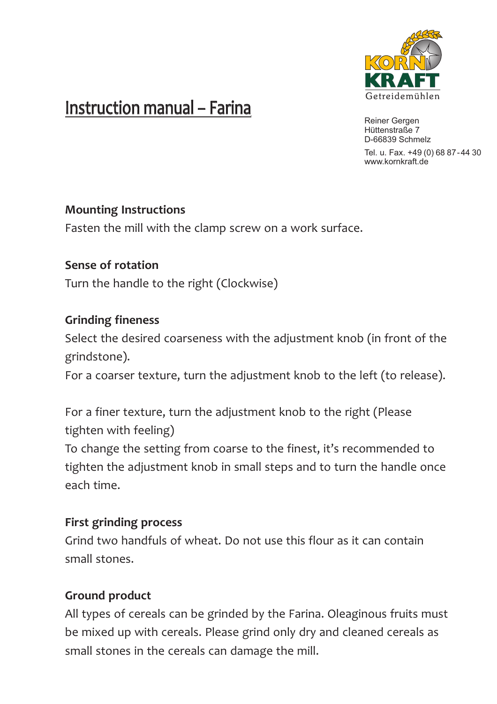

# Instruction manual – Farina

Reiner Gergen Hüttenstraße 7 D-66839 Schmelz

Tel. u. Fax. +49 (0) 68 87-44 30 www.kornkraft.de

### **Mounting Instructions**

Fasten the mill with the clamp screw on a work surface.

**Sense of rotation** Turn the handle to the right (Clockwise)

### **Grinding fineness**

Select the desired coarseness with the adjustment knob (in front of the grindstone).

For a coarser texture, turn the adjustment knob to the left (to release).

For a finer texture, turn the adjustment knob to the right (Please tighten with feeling)

To change the setting from coarse to the finest, it's recommended to tighten the adjustment knob in small steps and to turn the handle once each time.

## **First grinding process**

Grind two handfuls of wheat. Do not use this flour as it can contain small stones.

## **Ground product**

All types of cereals can be grinded by the Farina. Oleaginous fruits must be mixed up with cereals. Please grind only dry and cleaned cereals as small stones in the cereals can damage the mill.